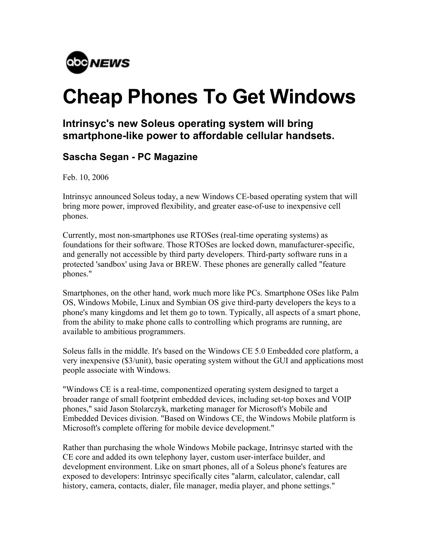

## **Cheap Phones To Get Windows**

## **Intrinsyc's new Soleus operating system will bring smartphone-like power to affordable cellular handsets.**

## **Sascha Segan - PC Magazine**

Feb. 10, 2006

Intrinsyc announced Soleus today, a new Windows CE-based operating system that will bring more power, improved flexibility, and greater ease-of-use to inexpensive cell phones.

Currently, most non-smartphones use RTOSes (real-time operating systems) as foundations for their software. Those RTOSes are locked down, manufacturer-specific, and generally not accessible by third party developers. Third-party software runs in a protected 'sandbox' using Java or BREW. These phones are generally called "feature phones."

Smartphones, on the other hand, work much more like PCs. Smartphone OSes like Palm OS, Windows Mobile, Linux and Symbian OS give third-party developers the keys to a phone's many kingdoms and let them go to town. Typically, all aspects of a smart phone, from the ability to make phone calls to controlling which programs are running, are available to ambitious programmers.

Soleus falls in the middle. It's based on the Windows CE 5.0 Embedded core platform, a very inexpensive (\$3/unit), basic operating system without the GUI and applications most people associate with Windows.

"Windows CE is a real-time, componentized operating system designed to target a broader range of small footprint embedded devices, including set-top boxes and VOIP phones," said Jason Stolarczyk, marketing manager for Microsoft's Mobile and Embedded Devices division. "Based on Windows CE, the Windows Mobile platform is Microsoft's complete offering for mobile device development."

Rather than purchasing the whole Windows Mobile package, Intrinsyc started with the CE core and added its own telephony layer, custom user-interface builder, and development environment. Like on smart phones, all of a Soleus phone's features are exposed to developers: Intrinsyc specifically cites "alarm, calculator, calendar, call history, camera, contacts, dialer, file manager, media player, and phone settings."